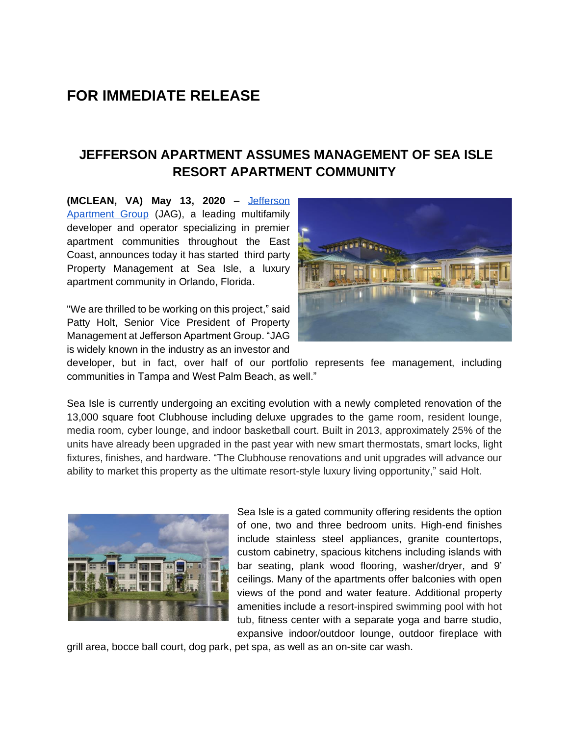## **FOR IMMEDIATE RELEASE**

## **JEFFERSON APARTMENT ASSUMES MANAGEMENT OF SEA ISLE RESORT APARTMENT COMMUNITY**

**(MCLEAN, VA) May 13, 2020** [–](about:blank) [Jefferson](about:blank)  [Apartment Group](about:blank) (JAG), a leading multifamily developer and operator specializing in premier apartment communities throughout the East Coast, announces today it has started third party Property Management at Sea Isle, a luxury apartment community in Orlando, Florida.

"We are thrilled to be working on this project," said Patty Holt, Senior Vice President of Property Management at Jefferson Apartment Group. "JAG is widely known in the industry as an investor and



developer, but in fact, over half of our portfolio represents fee management, including communities in Tampa and West Palm Beach, as well."

Sea Isle is currently undergoing an exciting evolution with a newly completed renovation of the 13,000 square foot Clubhouse including deluxe upgrades to the game room, resident lounge, media room, cyber lounge, and indoor basketball court. Built in 2013, approximately 25% of the units have already been upgraded in the past year with new smart thermostats, smart locks, light fixtures, finishes, and hardware. "The Clubhouse renovations and unit upgrades will advance our ability to market this property as the ultimate resort-style luxury living opportunity," said Holt.



Sea Isle is a gated community offering residents the option of one, two and three bedroom units. High-end finishes include stainless steel appliances, granite countertops, custom cabinetry, spacious kitchens including islands with bar seating, plank wood flooring, washer/dryer, and 9' ceilings. Many of the apartments offer balconies with open views of the pond and water feature. Additional property amenities include a resort-inspired swimming pool with hot tub, fitness center with a separate yoga and barre studio, expansive indoor/outdoor lounge, outdoor fireplace with

grill area, bocce ball court, dog park, pet spa, as well as an on-site car wash.